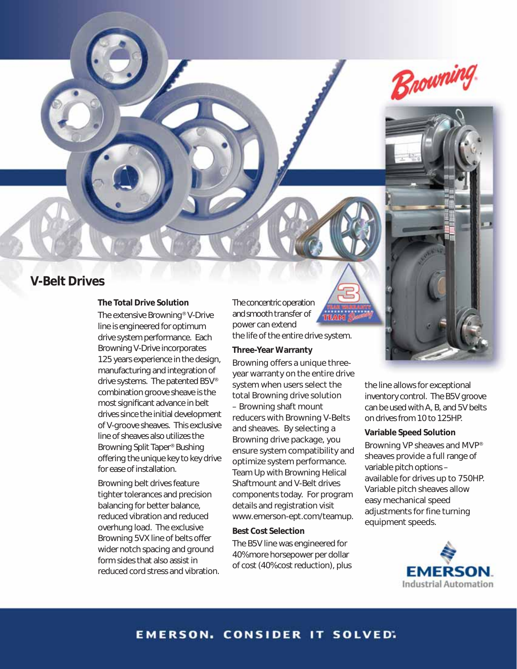

## **V-Belt Drives**

### **The Total Drive Solution**

The extensive Browning® V-Drive line is engineered for optimum drive system performance. Each Browning V-Drive incorporates 125 years experience in the design, manufacturing and integration of drive systems. The patented B5V® combination groove sheave is the most significant advance in belt drives since the initial development of V-groove sheaves. This exclusive line of sheaves also utilizes the Browning Split Taper® Bushing offering the unique key to key drive for ease of installation.

Browning belt drives feature tighter tolerances and precision balancing for better balance, reduced vibration and reduced overhung load. The exclusive Browning 5VX line of belts offer wider notch spacing and ground form sides that also assist in reduced cord stress and vibration.

The concentric operation and smooth transfer of power can extend the life of the entire drive system.

#### **Three-Year Warranty**

Browning offers a unique threeyear warranty on the entire drive system when users select the total Browning drive solution – Browning shaft mount reducers with Browning V-Belts and sheaves. By selecting a Browning drive package, you ensure system compatibility and optimize system performance. Team Up with Browning Helical Shaftmount and V-Belt drives components today. For program details and registration visit www.emerson-ept.com/teamup.

### **Best Cost Selection**

The B5V line was engineered for 40% more horsepower per dollar of cost (40% cost reduction), plus



### **Variable Speed Solution**

Browning VP sheaves and MVP® sheaves provide a full range of variable pitch options – available for drives up to 750HP. Variable pitch sheaves allow easy mechanical speed adjustments for fine turning equipment speeds.



## **EMERSON. CONSIDER IT SOLVED.**